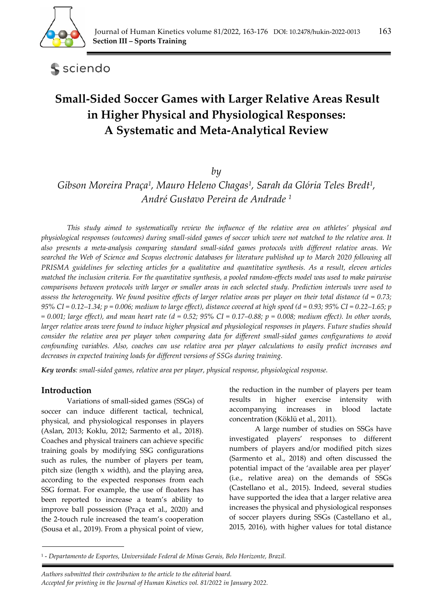

sciendo

# **Small-Sided Soccer Games with Larger Relative Areas Result in Higher Physical and Physiological Responses: A Systematic and Meta-Analytical Review**

*by* 

*Gibson Moreira Praça1, Mauro Heleno Chagas1, Sarah da Glória Teles Bredt1, André Gustavo Pereira de Andrade 1*

*This study aimed to systematically review the influence of the relative area on athletes' physical and physiological responses (outcomes) during small-sided games of soccer which were not matched to the relative area. It also presents a meta-analysis comparing standard small-sided games protocols with different relative areas. We searched the Web of Science and Scopus electronic databases for literature published up to March 2020 following all PRISMA guidelines for selecting articles for a qualitative and quantitative synthesis. As a result, eleven articles matched the inclusion criteria. For the quantitative synthesis, a pooled random-effects model was used to make pairwise comparisons between protocols with larger or smaller areas in each selected study. Prediction intervals were used to assess the heterogeneity. We found positive effects of larger relative areas per player on their total distance (d = 0.73; 95% CI = 0.12–1.34; p = 0.006; medium to large effect), distance covered at high speed (d = 0.93; 95% CI = 0.22–1.65; p*   $= 0.001$ ; large effect), and mean heart rate (d = 0.52; 95% CI = 0.17–0.88; p = 0.008; medium effect). In other words, *larger relative areas were found to induce higher physical and physiological responses in players. Future studies should consider the relative area per player when comparing data for different small-sided games configurations to avoid confounding variables. Also, coaches can use relative area per player calculations to easily predict increases and decreases in expected training loads for different versions of SSGs during training.* 

*Key words: small-sided games, relative area per player, physical response, physiological response.* 

# **Introduction**

Variations of small-sided games (SSGs) of soccer can induce different tactical, technical, physical, and physiological responses in players (Aslan, 2013; Koklu, 2012; Sarmento et al., 2018). Coaches and physical trainers can achieve specific training goals by modifying SSG configurations such as rules, the number of players per team, pitch size (length x width), and the playing area, according to the expected responses from each SSG format. For example, the use of floaters has been reported to increase a team's ability to improve ball possession (Praça et al., 2020) and the 2-touch rule increased the team's cooperation (Sousa et al., 2019). From a physical point of view,

the reduction in the number of players per team results in higher exercise intensity with accompanying increases in blood lactate concentration (Köklü et al., 2011).

A large number of studies on SSGs have investigated players' responses to different numbers of players and/or modified pitch sizes (Sarmento et al., 2018) and often discussed the potential impact of the 'available area per player' (i.e., relative area) on the demands of SSGs (Castellano et al., 2015). Indeed, several studies have supported the idea that a larger relative area increases the physical and physiological responses of soccer players during SSGs (Castellano et al., 2015, 2016), with higher values for total distance

*Authors submitted their contribution to the article to the editorial board.* 

<sup>1 -</sup> *Departamento de Esportes, Universidade Federal de Minas Gerais, Belo Horizonte, Brazil.* 

*Accepted for printing in the Journal of Human Kinetics vol. 81/2022 in January 2022.*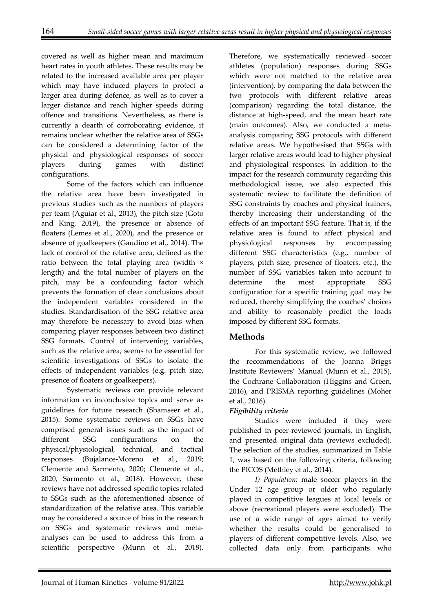covered as well as higher mean and maximum heart rates in youth athletes. These results may be related to the increased available area per player which may have induced players to protect a larger area during defence, as well as to cover a larger distance and reach higher speeds during offence and transitions. Nevertheless, as there is currently a dearth of corroborating evidence, it remains unclear whether the relative area of SSGs can be considered a determining factor of the physical and physiological responses of soccer players during games with distinct configurations.

Some of the factors which can influence the relative area have been investigated in previous studies such as the numbers of players per team (Aguiar et al., 2013), the pitch size (Goto and King, 2019), the presence or absence of floaters (Lemes et al., 2020), and the presence or absence of goalkeepers (Gaudino et al., 2014). The lack of control of the relative area, defined as the ratio between the total playing area (width × length) and the total number of players on the pitch, may be a confounding factor which prevents the formation of clear conclusions about the independent variables considered in the studies. Standardisation of the SSG relative area may therefore be necessary to avoid bias when comparing player responses between two distinct SSG formats. Control of intervening variables, such as the relative area, seems to be essential for scientific investigations of SSGs to isolate the effects of independent variables (e.g. pitch size, presence of floaters or goalkeepers).

Systematic reviews can provide relevant information on inconclusive topics and serve as guidelines for future research (Shamseer et al., 2015). Some systematic reviews on SSGs have comprised general issues such as the impact of different SSG configurations on the physical/physiological, technical, and tactical responses (Bujalance-Moreno et al., 2019; Clemente and Sarmento, 2020; Clemente et al., 2020, Sarmento et al., 2018). However, these reviews have not addressed specific topics related to SSGs such as the aforementioned absence of standardization of the relative area. This variable may be considered a source of bias in the research on SSGs and systematic reviews and metaanalyses can be used to address this from a scientific perspective (Munn et al., 2018).

Therefore, we systematically reviewed soccer athletes (population) responses during SSGs which were not matched to the relative area (intervention), by comparing the data between the two protocols with different relative areas (comparison) regarding the total distance, the distance at high-speed, and the mean heart rate (main outcomes). Also, we conducted a metaanalysis comparing SSG protocols with different relative areas. We hypothesised that SSGs with larger relative areas would lead to higher physical and physiological responses. In addition to the impact for the research community regarding this methodological issue, we also expected this systematic review to facilitate the definition of SSG constraints by coaches and physical trainers, thereby increasing their understanding of the effects of an important SSG feature. That is, if the relative area is found to affect physical and physiological responses by encompassing different SSG characteristics (e.g., number of players, pitch size, presence of floaters, etc.), the number of SSG variables taken into account to determine the most appropriate SSG configuration for a specific training goal may be reduced, thereby simplifying the coaches' choices and ability to reasonably predict the loads imposed by different SSG formats.

# **Methods**

For this systematic review, we followed the recommendations of the Joanna Briggs Institute Reviewers' Manual (Munn et al., 2015), the Cochrane Collaboration (Higgins and Green, 2016), and PRISMA reporting guidelines (Moher et al., 2016).

# *Eligibility criteria*

Studies were included if they were published in peer-reviewed journals, in English, and presented original data (reviews excluded). The selection of the studies, summarized in Table 1, was based on the following criteria, following the PICOS (Methley et al., 2014).

*I) Population*: male soccer players in the Under 12 age group or older who regularly played in competitive leagues at local levels or above (recreational players were excluded). The use of a wide range of ages aimed to verify whether the results could be generalised to players of different competitive levels. Also, we collected data only from participants who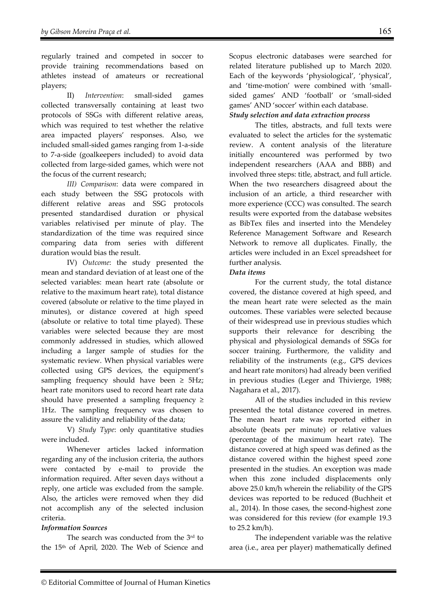regularly trained and competed in soccer to provide training recommendations based on athletes instead of amateurs or recreational players;

II) *Intervention*: small-sided games collected transversally containing at least two protocols of SSGs with different relative areas, which was required to test whether the relative area impacted players' responses. Also, we included small-sided games ranging from 1-a-side to 7-a-side (goalkeepers included) to avoid data collected from large-sided games, which were not the focus of the current research;

*III) Comparison*: data were compared in each study between the SSG protocols with different relative areas and SSG protocols presented standardised duration or physical variables relativised per minute of play. The standardization of the time was required since comparing data from series with different duration would bias the result.

IV) *Outcome*: the study presented the mean and standard deviation of at least one of the selected variables: mean heart rate (absolute or relative to the maximum heart rate), total distance covered (absolute or relative to the time played in minutes), or distance covered at high speed (absolute or relative to total time played). These variables were selected because they are most commonly addressed in studies, which allowed including a larger sample of studies for the systematic review. When physical variables were collected using GPS devices, the equipment's sampling frequency should have been  $\geq$  5Hz; heart rate monitors used to record heart rate data should have presented a sampling frequency  $\geq$ 1Hz. The sampling frequency was chosen to assure the validity and reliability of the data;

V) *Study Type*: only quantitative studies were included.

Whenever articles lacked information regarding any of the inclusion criteria, the authors were contacted by e-mail to provide the information required. After seven days without a reply, one article was excluded from the sample. Also, the articles were removed when they did not accomplish any of the selected inclusion criteria.

## *Information Sources*

The search was conducted from the 3rd to the 15th of April, 2020. The Web of Science and

Scopus electronic databases were searched for related literature published up to March 2020. Each of the keywords 'physiological', 'physical', and 'time-motion' were combined with 'smallsided games' AND 'football' or 'small-sided games' AND 'soccer' within each database.

# *Study selection and data extraction process*

The titles, abstracts, and full texts were evaluated to select the articles for the systematic review. A content analysis of the literature initially encountered was performed by two independent researchers (AAA and BBB) and involved three steps: title, abstract, and full article. When the two researchers disagreed about the inclusion of an article, a third researcher with more experience (CCC) was consulted. The search results were exported from the database websites as BibTex files and inserted into the Mendeley Reference Management Software and Research Network to remove all duplicates. Finally, the articles were included in an Excel spreadsheet for further analysis.

#### *Data items*

For the current study, the total distance covered, the distance covered at high speed, and the mean heart rate were selected as the main outcomes. These variables were selected because of their widespread use in previous studies which supports their relevance for describing the physical and physiological demands of SSGs for soccer training. Furthermore, the validity and reliability of the instruments (e.g., GPS devices and heart rate monitors) had already been verified in previous studies (Leger and Thivierge, 1988; Nagahara et al., 2017).

All of the studies included in this review presented the total distance covered in metres. The mean heart rate was reported either in absolute (beats per minute) or relative values (percentage of the maximum heart rate). The distance covered at high speed was defined as the distance covered within the highest speed zone presented in the studies. An exception was made when this zone included displacements only above 25.0 km/h wherein the reliability of the GPS devices was reported to be reduced (Buchheit et al., 2014). In those cases, the second-highest zone was considered for this review (for example 19.3 to 25.2 km/h).

The independent variable was the relative area (i.e., area per player) mathematically defined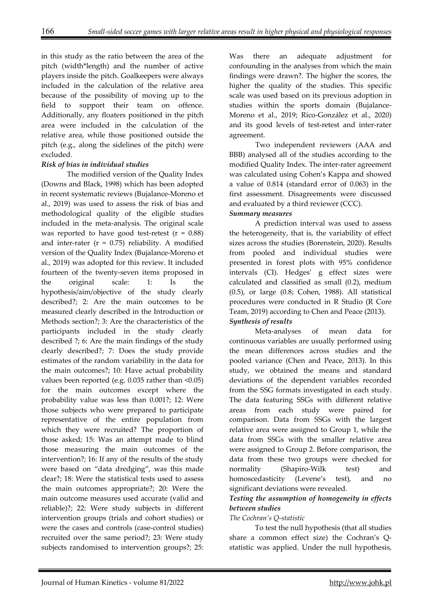in this study as the ratio between the area of the pitch (width\*length) and the number of active players inside the pitch. Goalkeepers were always included in the calculation of the relative area because of the possibility of moving up to the field to support their team on offence. Additionally, any floaters positioned in the pitch area were included in the calculation of the relative area, while those positioned outside the pitch (e.g., along the sidelines of the pitch) were excluded.

## *Risk of bias in individual studies*

The modified version of the Quality Index (Downs and Black, 1998) which has been adopted in recent systematic reviews (Bujalance-Moreno et al., 2019) was used to assess the risk of bias and methodological quality of the eligible studies included in the meta-analysis. The original scale was reported to have good test-retest  $(r = 0.88)$ and inter-rater  $(r = 0.75)$  reliability. A modified version of the Quality Index (Bujalance-Moreno et al., 2019) was adopted for this review. It included fourteen of the twenty-seven items proposed in the original scale: 1: Is the hypothesis/aim/objective of the study clearly described?; 2: Are the main outcomes to be measured clearly described in the Introduction or Methods section?; 3: Are the characteristics of the participants included in the study clearly described ?; 6: Are the main findings of the study clearly described?; 7: Does the study provide estimates of the random variability in the data for the main outcomes?; 10: Have actual probability values been reported (e.g. 0.035 rather than <0.05) for the main outcomes except where the probability value was less than 0.001?; 12: Were those subjects who were prepared to participate representative of the entire population from which they were recruited? The proportion of those asked; 15: Was an attempt made to blind those measuring the main outcomes of the intervention?; 16: If any of the results of the study were based on "data dredging", was this made clear?; 18: Were the statistical tests used to assess the main outcomes appropriate?; 20: Were the main outcome measures used accurate (valid and reliable)?; 22: Were study subjects in different intervention groups (trials and cohort studies) or were the cases and controls (case-control studies) recruited over the same period?; 23: Were study subjects randomised to intervention groups?; 25:

Was there an adequate adjustment for confounding in the analyses from which the main findings were drawn?. The higher the scores, the higher the quality of the studies. This specific scale was used based on its previous adoption in studies within the sports domain (Bujalance-Moreno et al., 2019; Rico-González et al., 2020) and its good levels of test-retest and inter-rater agreement.

Two independent reviewers (AAA and BBB) analysed all of the studies according to the modified Quality Index. The inter-rater agreement was calculated using Cohen's Kappa and showed a value of 0.814 (standard error of 0.063) in the first assessment. Disagreements were discussed and evaluated by a third reviewer (CCC).

# *Summary measures*

A prediction interval was used to assess the heterogeneity, that is, the variability of effect sizes across the studies (Borenstein, 2020). Results from pooled and individual studies were presented in forest plots with 95% confidence intervals (CI). Hedges' g effect sizes were calculated and classified as small (0.2), medium (0.5), or large (0.8; Cohen, 1988). All statistical procedures were conducted in R Studio (R Core Team, 2019) according to Chen and Peace (2013). *Synthesis of results* 

Meta-analyses of mean data for continuous variables are usually performed using the mean differences across studies and the pooled variance (Chen and Peace, 2013). In this study, we obtained the means and standard deviations of the dependent variables recorded from the SSG formats investigated in each study. The data featuring SSGs with different relative areas from each study were paired for comparison. Data from SSGs with the largest relative area were assigned to Group 1, while the data from SSGs with the smaller relative area were assigned to Group 2. Before comparison, the data from these two groups were checked for normality (Shapiro-Wilk test) and homoscedasticity (Levene's test), and no significant deviations were revealed.

## *Testing the assumption of homogeneity in effects between studies*

## *The Cochran's Q-statistic*

To test the null hypothesis (that all studies share a common effect size) the Cochran's Qstatistic was applied. Under the null hypothesis,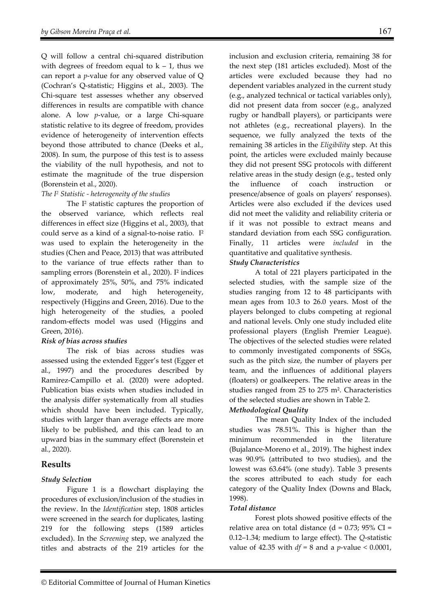Q will follow a central chi-squared distribution with degrees of freedom equal to  $k - 1$ , thus we can report a *p*-value for any observed value of Q (Cochran's Q-statistic; Higgins et al., 2003). The Chi-square test assesses whether any observed differences in results are compatible with chance alone. A low *p*-value, or a large Chi-square statistic relative to its degree of freedom, provides evidence of heterogeneity of intervention effects beyond those attributed to chance (Deeks et al., 2008). In sum, the purpose of this test is to assess the viability of the null hypothesis, and not to estimate the magnitude of the true dispersion (Borenstein et al., 2020).

#### *The I2 Statistic - heterogeneity of the studies*

The I<sup>2</sup> statistic captures the proportion of the observed variance, which reflects real differences in effect size (Higgins et al., 2003), that could serve as a kind of a signal-to-noise ratio. I² was used to explain the heterogeneity in the studies (Chen and Peace, 2013) that was attributed to the variance of true effects rather than to sampling errors (Borenstein et al., 2020). I² indices of approximately 25%, 50%, and 75% indicated low, moderate, and high heterogeneity, respectively (Higgins and Green, 2016). Due to the high heterogeneity of the studies, a pooled random-effects model was used (Higgins and Green, 2016).

#### *Risk of bias across studies*

The risk of bias across studies was assessed using the extended Egger's test (Egger et al., 1997) and the procedures described by Ramirez-Campillo et al. (2020) were adopted. Publication bias exists when studies included in the analysis differ systematically from all studies which should have been included. Typically, studies with larger than average effects are more likely to be published, and this can lead to an upward bias in the summary effect (Borenstein et al., 2020).

# **Results**

## *Study Selection*

Figure 1 is a flowchart displaying the procedures of exclusion/inclusion of the studies in the review. In the *Identification* step, 1808 articles were screened in the search for duplicates, lasting 219 for the following steps (1589 articles excluded). In the *Screening* step, we analyzed the titles and abstracts of the 219 articles for the

inclusion and exclusion criteria, remaining 38 for the next step (181 articles excluded). Most of the articles were excluded because they had no dependent variables analyzed in the current study (e.g., analyzed technical or tactical variables only), did not present data from soccer (e.g., analyzed rugby or handball players), or participants were not athletes (e.g., recreational players). In the sequence, we fully analyzed the texts of the remaining 38 articles in the *Eligibility* step. At this point, the articles were excluded mainly because they did not present SSG protocols with different relative areas in the study design (e.g., tested only the influence of coach instruction or presence/absence of goals on players' responses). Articles were also excluded if the devices used did not meet the validity and reliability criteria or if it was not possible to extract means and standard deviation from each SSG configuration. Finally, 11 articles were *included* in the quantitative and qualitative synthesis.

## *Study Characteristics*

 A total of 221 players participated in the selected studies, with the sample size of the studies ranging from 12 to 48 participants with mean ages from 10.3 to 26.0 years. Most of the players belonged to clubs competing at regional and national levels. Only one study included elite professional players (English Premier League). The objectives of the selected studies were related to commonly investigated components of SSGs, such as the pitch size, the number of players per team, and the influences of additional players (floaters) or goalkeepers. The relative areas in the studies ranged from 25 to 275 m². Characteristics of the selected studies are shown in Table 2.

## *Methodological Quality*

The mean Quality Index of the included studies was 78.51%. This is higher than the minimum recommended in the literature (Bujalance-Moreno et al., 2019). The highest index was 90.9% (attributed to two studies), and the lowest was 63.64% (one study). Table 3 presents the scores attributed to each study for each category of the Quality Index (Downs and Black, 1998).

## *Total distance*

Forest plots showed positive effects of the relative area on total distance ( $d = 0.73$ ; 95% CI = 0.12–1.34; medium to large effect). The *Q*-statistic value of 42.35 with *df* = 8 and a *p*-value *<* 0.0001,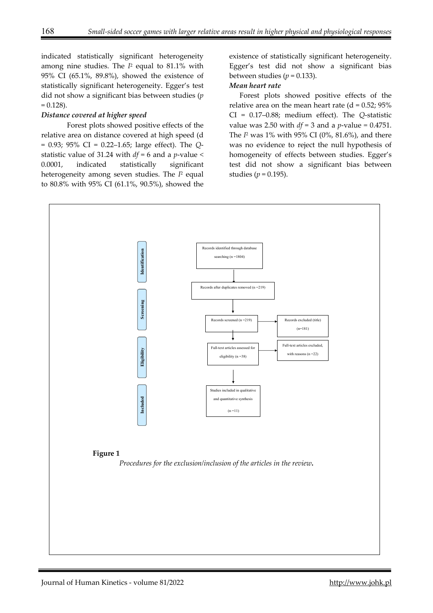indicated statistically significant heterogeneity among nine studies. The *I*2 equal to 81.1% with 95% CI (65.1%, 89.8%), showed the existence of statistically significant heterogeneity. Egger's test did not show a significant bias between studies (*p*  $= 0.128$ ).

#### *Distance covered at higher speed*

Forest plots showed positive effects of the relative area on distance covered at high speed (d = 0.93; 95% CI = 0.22–1.65; large effect). The *Q*statistic value of 31.24 with *df* = 6 and a *p*-value *<*  0.0001, indicated statistically significant heterogeneity among seven studies. The *I*2 equal to 80.8% with 95% CI (61.1%, 90.5%), showed the

existence of statistically significant heterogeneity. Egger's test did not show a significant bias between studies ( $p = 0.133$ ).

#### *Mean heart rate*

Forest plots showed positive effects of the relative area on the mean heart rate  $(d = 0.52; 95%)$ CI = 0.17–0.88; medium effect). The *Q*-statistic value was 2.50 with *df* = 3 and a *p*-value *=* 0.4751. The *I*2 was 1% with 95% CI (0%, 81.6%), and there was no evidence to reject the null hypothesis of homogeneity of effects between studies. Egger's test did not show a significant bias between studies ( $p = 0.195$ ).

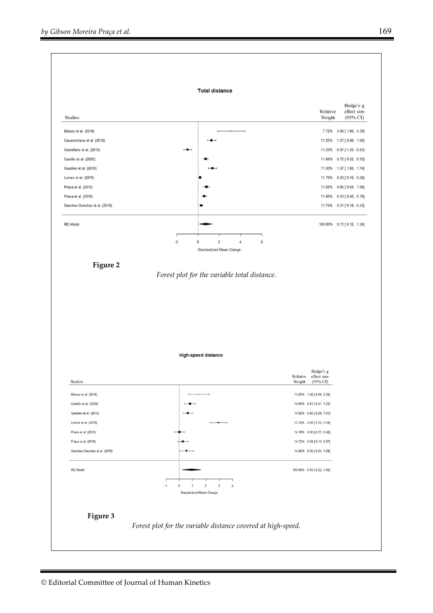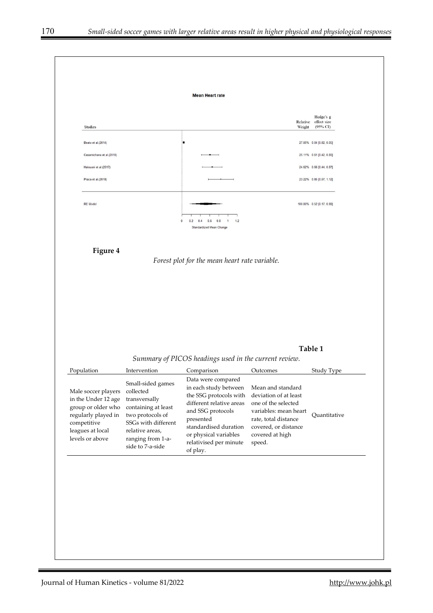**Mean Heart rate** Hedge's g Relative effect size<br>(95% CI) Studies Weight Beato et al.(2014) 27.05% 0.04 [0.02, 0.05] Casamichana et al.(2018) 25.11% 0.61 [0.42, 0.80] Halouani et al.(2017) 24.62% 0.66 [0.44, 0.87] Praca et al.(2018) 23.22% 0.85 [0.57, 1.12] **RE** Model 100.00% 0.52 [0.17, 0.88]  $0.2$  $0.4$  0.6 0.8  $1.2$  $\overline{0}$  $\overline{1}$ Standardized Mean Change **Figure 4**  *Forest plot for the mean heart rate variable.*  **Table 1**  *Summary of PICOS headings used in the current review.*  Population Intervention Comparison Outcomes Study Type Data were compared Small-sided games in each study between Mean and standard Male soccer players collected deviation of at least the SSG protocols with in the Under 12 age transversally different relative areas one of the selected group or older who containing at least and SSG protocols variables: mean heart regularly played in two protocols of Quantitative presented rate, total distance competitive SSGs with different standardised duration covered, or distance leagues at local relative areas, or physical variables covered at high levels or above ranging from 1-arelativised per minute speed. side to 7-a-side of play.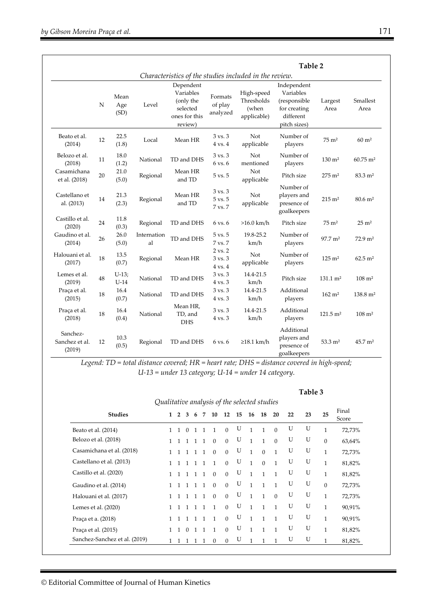|                                      |                          |                   |                   | Table 2<br>Characteristics of the studies included in the review.           |                                                     |                                                  |                                                                                       |                        |                         |  |  |  |
|--------------------------------------|--------------------------|-------------------|-------------------|-----------------------------------------------------------------------------|-----------------------------------------------------|--------------------------------------------------|---------------------------------------------------------------------------------------|------------------------|-------------------------|--|--|--|
|                                      | Mean<br>N<br>Age<br>(SD) |                   | Level             | Dependent<br>Variables<br>(only the<br>selected<br>ones for this<br>review) | Formats<br>of play<br>analyzed                      | High-speed<br>Thresholds<br>(when<br>applicable) | Independent<br>Variables<br>(responsible<br>for creating<br>different<br>pitch sizes) | Largest<br>Area        | Smallest<br>Area        |  |  |  |
| Beato et al.<br>(2014)               | 12                       | 22.5<br>(1.8)     | Local             | Mean HR                                                                     | $3 \text{ vs. } 3$<br>$4 \text{ vs. } 4$            | <b>Not</b><br>applicable                         | Number of<br>players                                                                  | $75 \text{ m}^2$       | $60 \text{ m}^2$        |  |  |  |
| Belozo et al.<br>(2018)              | 11                       | 18.0<br>(1.2)     | National          | TD and DHS                                                                  | 3 vs. 3<br>6 vs. 6                                  | Not<br>mentioned                                 | Number of<br>players                                                                  | $130 \; \mathrm{m}^2$  | $60.75 \; \mathrm{m}^2$ |  |  |  |
| Casamichana<br>et al. (2018)         | 20                       | 21.0<br>(5.0)     | Regional          | Mean HR<br>and TD                                                           | 5 vs. 5                                             | Not<br>applicable                                | Pitch size                                                                            | $275 \; \mathrm{m}^2$  | 83.3 m <sup>2</sup>     |  |  |  |
| Castellano et<br>al. (2013)          | 14                       | 21.3<br>(2.3)     | Regional          | Mean HR<br>and TD                                                           | 3 vs. 3<br>5 vs. 5<br>7 vs. 7                       | Not<br>applicable                                | Number of<br>players and<br>presence of<br>goalkeepers                                | $215 \; \mathrm{m}^2$  | $80.6 \; \mathrm{m}^2$  |  |  |  |
| Castillo et al.<br>(2020)            | 24                       | 11.8<br>(0.3)     | Regional          | TD and DHS                                                                  | 6 vs. 6                                             | $>16.0$ km/h                                     | Pitch size                                                                            | $75 \text{ m}^2$       | $25 \text{ m}^2$        |  |  |  |
| Gaudino et al.<br>(2014)             | 26                       | 26.0<br>(5.0)     | Internation<br>al | TD and DHS                                                                  | $5 \text{ vs. } 5$<br>7 vs. 7                       | 19.8-25.2<br>km/h                                | Number of<br>players                                                                  | $97.7 \text{ m}^2$     | $72.9 \text{ m}^2$      |  |  |  |
| Halouani et al.<br>(2017)            | 18                       | 13.5<br>(0.7)     | Regional          | Mean HR                                                                     | $2 \text{ vs. } 2$<br>3 vs. 3<br>$4 \text{ vs. } 4$ | Not<br>applicable                                | Number of<br>players                                                                  | $125 \; \mathrm{m}^2$  | $62.5 \; \mathrm{m}^2$  |  |  |  |
| Lemes et al.<br>(2019)               | 48                       | $U-13;$<br>$U-14$ | National          | TD and DHS                                                                  | $3 \text{ vs. } 3$<br>$4$ vs. $3$                   | 14.4-21.5<br>km/h                                | Pitch size                                                                            | $131.1 \text{ m}^2$    | $108 \; \mathrm{m}^2$   |  |  |  |
| Praça et al.<br>(2015)               | 18                       | 16.4<br>(0.7)     | National          | TD and DHS                                                                  | 3 vs. 3<br>4 vs. 3                                  | 14.4-21.5<br>km/h                                | Additional<br>players                                                                 | $162 \; \mathrm{m}^2$  | $138.8 \text{ m}^2$     |  |  |  |
| Praça et al.<br>(2018)               | 18                       | 16.4<br>(0.4)     | National          | Mean HR,<br>TD, and<br><b>DHS</b>                                           | $3 \text{ vs. } 3$<br>4 vs. 3                       | 14.4-21.5<br>km/h                                | Additional<br>players                                                                 | $121.5 \text{ m}^2$    | $108 \; \mathrm{m}^2$   |  |  |  |
| Sanchez-<br>Sanchez et al.<br>(2019) | 12                       | 10.3<br>(0.5)     | Regional          | TD and DHS                                                                  | 6 vs. 6                                             | $\geq$ 18.1 km/h                                 | Additional<br>players and<br>presence of<br>goalkeepers                               | $53.3 \; \mathrm{m}^2$ | $45.7 \text{ m}^2$      |  |  |  |

*Legend: TD = total distance covered; HR = heart rate; DHS = distance covered in high-speed; U-13 = under 13 category; U-14 = under 14 category.* 

#### **Table 3**

| Qualitative analysis of the selected studies |              |                |                |                |                |                |              |    |              |              |              |    |    |              |                |
|----------------------------------------------|--------------|----------------|----------------|----------------|----------------|----------------|--------------|----|--------------|--------------|--------------|----|----|--------------|----------------|
| <b>Studies</b>                               | $\mathbf{1}$ | $\overline{2}$ | 3              | 6              | 7              | 10             | 12           | 15 | 16           | 18           | 20           | 22 | 23 | 25           | Final<br>Score |
| Beato et al. (2014)                          |              | $\mathbf{1}$   | $\Omega$       | $\overline{1}$ | $\overline{1}$ | $\mathbf{1}$   | $\mathbf{0}$ | U  | 1            | $\mathbf{1}$ | $\Omega$     | U  | U  | $\mathbf{1}$ | 72,73%         |
| Belozo et al. (2018)                         |              |                | $\overline{1}$ | $\overline{1}$ | $\overline{1}$ | $\Omega$       | $\mathbf{0}$ | U  | $\mathbf{1}$ | $\mathbf{1}$ | $\Omega$     | U  | U  | $\mathbf{0}$ | 63,64%         |
| Casamichana et al. (2018)                    | $\mathbf{1}$ |                |                |                | $\overline{1}$ | $\Omega$       | $\Omega$     | U  | $\mathbf{1}$ | $\Omega$     | $\mathbf{1}$ | U  | U  | 1            | 72,73%         |
| Castellano et al. (2013)                     | 1.           |                | $\mathbf{1}$   |                | $\overline{1}$ | $\overline{1}$ | $\Omega$     | U  | $\mathbf{1}$ | $\Omega$     | $\mathbf{1}$ | U  | U  | $\mathbf{1}$ | 81,82%         |
| Castillo et al. (2020)                       |              |                | $\overline{1}$ |                | $\overline{1}$ | $\theta$       | $\Omega$     | U  | $\mathbf{1}$ | $\mathbf{1}$ | $\mathbf{1}$ | U  | U  | $\mathbf{1}$ | 81,82%         |
| Gaudino et al. (2014)                        |              | $\mathbf{1}$   | $\overline{1}$ | $\overline{1}$ | $\overline{1}$ | $\Omega$       | $\Omega$     | U  | $\mathbf{1}$ | $\mathbf{1}$ | $\mathbf{1}$ | U  | U  | $\theta$     | 72,73%         |
| Halouani et al. (2017)                       |              |                |                |                |                | $\Omega$       | $\Omega$     | U  | $\mathbf{1}$ | $\mathbf{1}$ | $\Omega$     | U  | U  | $\mathbf{1}$ | 72,73%         |
| Lemes et al. $(2020)$                        |              |                |                | $\overline{1}$ | $\overline{1}$ | $\mathbf{1}$   | $\Omega$     | U  | $\mathbf{1}$ | $\mathbf{1}$ | $\mathbf{1}$ | U  | U  | $\mathbf{1}$ | 90,91%         |
| Praça et a. (2018)                           | 1            |                | $\mathbf{1}$   | $\mathbf{1}$   | $\overline{1}$ | $\mathbf{1}$   | $\Omega$     | U  | $\mathbf{1}$ | $\mathbf{1}$ | $\mathbf{1}$ | U  | U  | $\mathbf{1}$ | 90,91%         |
| Praça et al. (2015)                          | 1            |                | $\Omega$       |                | $\mathbf{1}$   | $\mathbf{1}$   | $\Omega$     | U  | $\mathbf{1}$ | $\mathbf{1}$ | $\mathbf{1}$ | U  | U  | $\mathbf{1}$ | 81,82%         |
| Sanchez-Sanchez et al. (2019)                | $\mathbf{1}$ | $\mathbf{1}$   |                |                | -1             | $\Omega$       | $\Omega$     | U  | $\mathbf{1}$ | $\mathbf{1}$ | $\mathbf{1}$ | U  | U  | 1            | 81,82%         |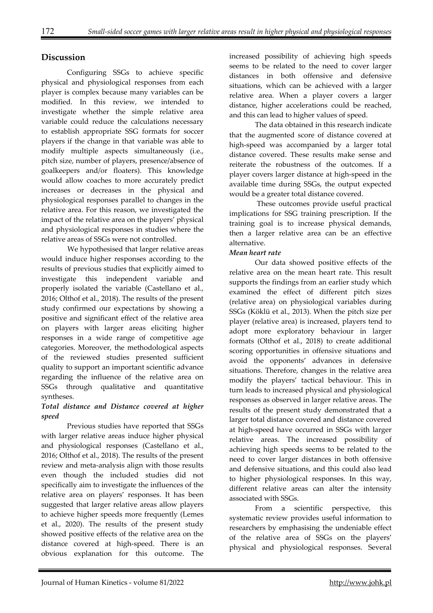# **Discussion**

Configuring SSGs to achieve specific physical and physiological responses from each player is complex because many variables can be modified. In this review, we intended to investigate whether the simple relative area variable could reduce the calculations necessary to establish appropriate SSG formats for soccer players if the change in that variable was able to modify multiple aspects simultaneously (i.e., pitch size, number of players, presence/absence of goalkeepers and/or floaters). This knowledge would allow coaches to more accurately predict increases or decreases in the physical and physiological responses parallel to changes in the relative area. For this reason, we investigated the impact of the relative area on the players' physical and physiological responses in studies where the relative areas of SSGs were not controlled.

We hypothesised that larger relative areas would induce higher responses according to the results of previous studies that explicitly aimed to investigate this independent variable and properly isolated the variable (Castellano et al., 2016; Olthof et al., 2018). The results of the present study confirmed our expectations by showing a positive and significant effect of the relative area on players with larger areas eliciting higher responses in a wide range of competitive age categories. Moreover, the methodological aspects of the reviewed studies presented sufficient quality to support an important scientific advance regarding the influence of the relative area on SSGs through qualitative and quantitative syntheses.

## *Total distance and Distance covered at higher speed*

Previous studies have reported that SSGs with larger relative areas induce higher physical and physiological responses (Castellano et al., 2016; Olthof et al., 2018). The results of the present review and meta-analysis align with those results even though the included studies did not specifically aim to investigate the influences of the relative area on players' responses. It has been suggested that larger relative areas allow players to achieve higher speeds more frequently (Lemes et al., 2020). The results of the present study showed positive effects of the relative area on the distance covered at high-speed. There is an obvious explanation for this outcome. The

increased possibility of achieving high speeds seems to be related to the need to cover larger distances in both offensive and defensive situations, which can be achieved with a larger relative area. When a player covers a larger distance, higher accelerations could be reached, and this can lead to higher values of speed.

The data obtained in this research indicate that the augmented score of distance covered at high-speed was accompanied by a larger total distance covered. These results make sense and reiterate the robustness of the outcomes. If a player covers larger distance at high-speed in the available time during SSGs, the output expected would be a greater total distance covered.

 These outcomes provide useful practical implications for SSG training prescription. If the training goal is to increase physical demands, then a larger relative area can be an effective alternative.

## *Mean heart rate*

 Our data showed positive effects of the relative area on the mean heart rate. This result supports the findings from an earlier study which examined the effect of different pitch sizes (relative area) on physiological variables during SSGs (Köklü et al., 2013). When the pitch size per player (relative area) is increased, players tend to adopt more exploratory behaviour in larger formats (Olthof et al., 2018) to create additional scoring opportunities in offensive situations and avoid the opponents' advances in defensive situations. Therefore, changes in the relative area modify the players' tactical behaviour. This in turn leads to increased physical and physiological responses as observed in larger relative areas. The results of the present study demonstrated that a larger total distance covered and distance covered at high-speed have occurred in SSGs with larger relative areas. The increased possibility of achieving high speeds seems to be related to the need to cover larger distances in both offensive and defensive situations, and this could also lead to higher physiological responses. In this way, different relative areas can alter the intensity associated with SSGs.

 From a scientific perspective, this systematic review provides useful information to researchers by emphasising the undeniable effect of the relative area of SSGs on the players' physical and physiological responses. Several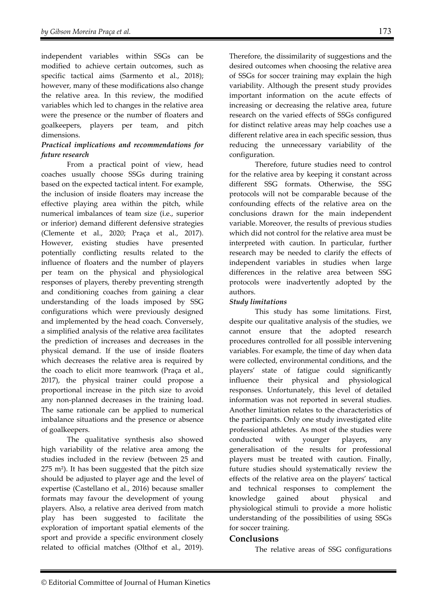independent variables within SSGs can be modified to achieve certain outcomes, such as specific tactical aims (Sarmento et al., 2018); however, many of these modifications also change the relative area. In this review, the modified variables which led to changes in the relative area were the presence or the number of floaters and goalkeepers, players per team, and pitch dimensions.

## *Practical implications and recommendations for future research*

From a practical point of view, head coaches usually choose SSGs during training based on the expected tactical intent. For example, the inclusion of inside floaters may increase the effective playing area within the pitch, while numerical imbalances of team size (i.e., superior or inferior) demand different defensive strategies (Clemente et al., 2020; Praça et al., 2017). However, existing studies have presented potentially conflicting results related to the influence of floaters and the number of players per team on the physical and physiological responses of players, thereby preventing strength and conditioning coaches from gaining a clear understanding of the loads imposed by SSG configurations which were previously designed and implemented by the head coach. Conversely, a simplified analysis of the relative area facilitates the prediction of increases and decreases in the physical demand. If the use of inside floaters which decreases the relative area is required by the coach to elicit more teamwork (Praça et al., 2017), the physical trainer could propose a proportional increase in the pitch size to avoid any non-planned decreases in the training load. The same rationale can be applied to numerical imbalance situations and the presence or absence of goalkeepers.

The qualitative synthesis also showed high variability of the relative area among the studies included in the review (between 25 and  $275$  m<sup>2</sup>). It has been suggested that the pitch size should be adjusted to player age and the level of expertise (Castellano et al., 2016) because smaller formats may favour the development of young players. Also, a relative area derived from match play has been suggested to facilitate the exploration of important spatial elements of the sport and provide a specific environment closely related to official matches (Olthof et al., 2019).

Therefore, the dissimilarity of suggestions and the desired outcomes when choosing the relative area of SSGs for soccer training may explain the high variability. Although the present study provides important information on the acute effects of increasing or decreasing the relative area, future research on the varied effects of SSGs configured for distinct relative areas may help coaches use a different relative area in each specific session, thus reducing the unnecessary variability of the configuration.

Therefore, future studies need to control for the relative area by keeping it constant across different SSG formats. Otherwise, the SSG protocols will not be comparable because of the confounding effects of the relative area on the conclusions drawn for the main independent variable. Moreover, the results of previous studies which did not control for the relative area must be interpreted with caution. In particular, further research may be needed to clarify the effects of independent variables in studies when large differences in the relative area between SSG protocols were inadvertently adopted by the authors.

## *Study limitations*

 This study has some limitations. First, despite our qualitative analysis of the studies, we cannot ensure that the adopted research procedures controlled for all possible intervening variables. For example, the time of day when data were collected, environmental conditions, and the players' state of fatigue could significantly influence their physical and physiological responses. Unfortunately, this level of detailed information was not reported in several studies. Another limitation relates to the characteristics of the participants. Only one study investigated elite professional athletes. As most of the studies were conducted with younger players, any generalisation of the results for professional players must be treated with caution. Finally, future studies should systematically review the effects of the relative area on the players' tactical and technical responses to complement the knowledge gained about physical and physiological stimuli to provide a more holistic understanding of the possibilities of using SSGs for soccer training.

## **Conclusions**

The relative areas of SSG configurations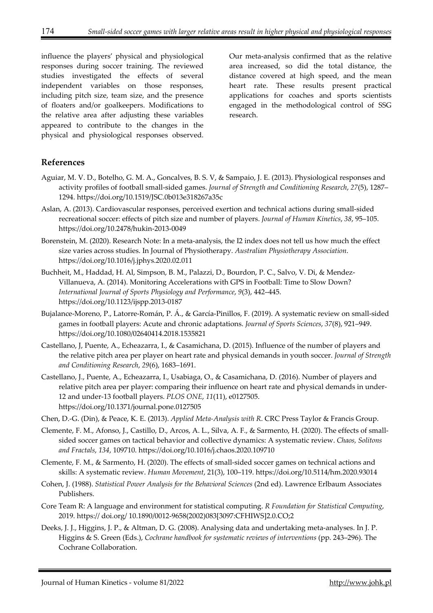influence the players' physical and physiological responses during soccer training. The reviewed studies investigated the effects of several independent variables on those responses, including pitch size, team size, and the presence of floaters and/or goalkeepers. Modifications to the relative area after adjusting these variables appeared to contribute to the changes in the physical and physiological responses observed.

Our meta-analysis confirmed that as the relative area increased, so did the total distance, the distance covered at high speed, and the mean heart rate. These results present practical applications for coaches and sports scientists engaged in the methodological control of SSG research.

# **References**

- Aguiar, M. V. D., Botelho, G. M. A., Goncalves, B. S. V, & Sampaio, J. E. (2013). Physiological responses and activity profiles of football small-sided games. *Journal of Strength and Conditioning Research*, *27*(5), 1287– 1294. https://doi.org/10.1519/JSC.0b013e318267a35c
- Aslan, A. (2013). Cardiovascular responses, perceived exertion and technical actions during small-sided recreational soccer: effects of pitch size and number of players. *Journal of Human Kinetics*, *38*, 95–105. https://doi.org/10.2478/hukin-2013-0049
- Borenstein, M. (2020). Research Note: In a meta-analysis, the I2 index does not tell us how much the effect size varies across studies. In Journal of Physiotherapy. *Australian Physiotherapy Association*. https://doi.org/10.1016/j.jphys.2020.02.011
- Buchheit, M., Haddad, H. Al, Simpson, B. M., Palazzi, D., Bourdon, P. C., Salvo, V. Di, & Mendez-Villanueva, A. (2014). Monitoring Accelerations with GPS in Football: Time to Slow Down? *International Journal of Sports Physiology and Performance*, *9*(3), 442–445. https://doi.org/10.1123/ijspp.2013-0187
- Bujalance-Moreno, P., Latorre-Román, P. Á., & García-Pinillos, F. (2019). A systematic review on small-sided games in football players: Acute and chronic adaptations. *Journal of Sports Sciences*, *37*(8), 921–949. https://doi.org/10.1080/02640414.2018.1535821
- Castellano, J, Puente, A., Echeazarra, I., & Casamichana, D. (2015). Influence of the number of players and the relative pitch area per player on heart rate and physical demands in youth soccer. *Journal of Strength and Conditioning Research*, *29*(6), 1683–1691.
- Castellano, J., Puente, A., Echeazarra, I., Usabiaga, O., & Casamichana, D. (2016). Number of players and relative pitch area per player: comparing their influence on heart rate and physical demands in under-12 and under-13 football players. *PLOS ONE*, *11*(11), e0127505. https://doi.org/10.1371/journal.pone.0127505
- Chen, D.-G. (Din), & Peace, K. E. (2013). *Applied Meta-Analysis with R*. CRC Press Taylor & Francis Group.
- Clemente, F. M., Afonso, J., Castillo, D., Arcos, A. L., Silva, A. F., & Sarmento, H. (2020). The effects of smallsided soccer games on tactical behavior and collective dynamics: A systematic review. *Chaos, Solitons and Fractals*, *134*, 109710. https://doi.org/10.1016/j.chaos.2020.109710
- Clemente, F. M., & Sarmento, H. (2020). The effects of small-sided soccer games on technical actions and skills: A systematic review. *Human Movement*, 21(3), 100–119. https://doi.org/10.5114/hm.2020.93014
- Cohen, J. (1988). *Statistical Power Analysis for the Behavioral Sciences* (2nd ed). Lawrence Erlbaum Associates Publishers.
- Core Team R: A language and environment for statistical computing. *R Foundation for Statistical Computing*, 2019. https:// doi.org/ 10.1890/0012-9658(2002)083[3097:CFHIWS]2.0.CO;2
- Deeks, J. J., Higgins, J. P., & Altman, D. G. (2008). Analysing data and undertaking meta-analyses. In J. P. Higgins & S. Green (Eds.), *Cochrane handbook for systematic reviews of interventions* (pp. 243–296). The Cochrane Collaboration.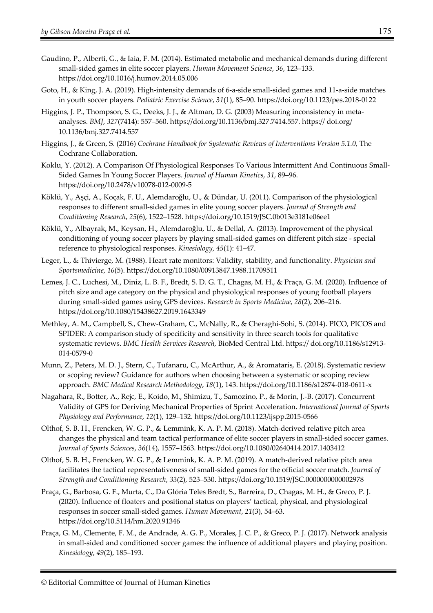- Gaudino, P., Alberti, G., & Iaia, F. M. (2014). Estimated metabolic and mechanical demands during different small-sided games in elite soccer players. *Human Movement Science*, *36*, 123–133. https://doi.org/10.1016/j.humov.2014.05.006
- Goto, H., & King, J. A. (2019). High-intensity demands of 6-a-side small-sided games and 11-a-side matches in youth soccer players. *Pediatric Exercise Science*, *31*(1), 85–90. https://doi.org/10.1123/pes.2018-0122
- Higgins, J. P., Thompson, S. G., Deeks, J. J., & Altman, D. G. (2003) Measuring inconsistency in metaanalyses. *BMJ*, *327*(7414): 557–560. https://doi.org/10.1136/bmj.327.7414.557. https:// doi.org/ 10.1136/bmj.327.7414.557
- Higgins, J., & Green, S. (2016) *Cochrane Handbook for Systematic Reviews of Interventions Version 5.1.0*, The Cochrane Collaboration.
- Koklu, Y. (2012). A Comparison Of Physiological Responses To Various Intermittent And Continuous Small-Sided Games In Young Soccer Players. *Journal of Human Kinetics*, *31*, 89–96. https://doi.org/10.2478/v10078-012-0009-5
- Köklü, Y., Aşçi, A., Koçak, F. U., Alemdaroǧlu, U., & Dündar, U. (2011). Comparison of the physiological responses to different small-sided games in elite young soccer players. *Journal of Strength and Conditioning Research*, *25*(6), 1522–1528. https://doi.org/10.1519/JSC.0b013e3181e06ee1
- Köklü, Y., Albayrak, M., Keysan, H., Alemdaroǧlu, U., & Dellal, A. (2013). Improvement of the physical conditioning of young soccer players by playing small-sided games on different pitch size - special reference to physiological responses. *Kinesiology*, *45*(1): 41–47.
- Leger, L., & Thivierge, M. (1988). Heart rate monitors: Validity, stability, and functionality. *Physician and Sportsmedicine*, *16*(5). https://doi.org/10.1080/00913847.1988.11709511
- Lemes, J. C., Luchesi, M., Diniz, L. B. F., Bredt, S. D. G. T., Chagas, M. H., & Praça, G. M. (2020). Influence of pitch size and age category on the physical and physiological responses of young football players during small-sided games using GPS devices. *Research in Sports Medicine*, *28*(2), 206–216. https://doi.org/10.1080/15438627.2019.1643349
- Methley, A. M., Campbell, S., Chew-Graham, C., McNally, R., & Cheraghi-Sohi, S. (2014). PICO, PICOS and SPIDER: A comparison study of specificity and sensitivity in three search tools for qualitative systematic reviews. *BMC Health Services Research*, BioMed Central Ltd. https:// doi.org/10.1186/s12913- 014-0579-0
- Munn, Z., Peters, M. D. J., Stern, C., Tufanaru, C., McArthur, A., & Aromataris, E. (2018). Systematic review or scoping review? Guidance for authors when choosing between a systematic or scoping review approach. *BMC Medical Research Methodology*, *18*(1), 143. https://doi.org/10.1186/s12874-018-0611-x
- Nagahara, R., Botter, A., Rejc, E., Koido, M., Shimizu, T., Samozino, P., & Morin, J.-B. (2017). Concurrent Validity of GPS for Deriving Mechanical Properties of Sprint Acceleration. *International Journal of Sports Physiology and Performance*, *12*(1), 129–132. https://doi.org/10.1123/ijspp.2015-0566
- Olthof, S. B. H., Frencken, W. G. P., & Lemmink, K. A. P. M. (2018). Match-derived relative pitch area changes the physical and team tactical performance of elite soccer players in small-sided soccer games. *Journal of Sports Sciences*, *36*(14), 1557–1563. https://doi.org/10.1080/02640414.2017.1403412
- Olthof, S. B. H., Frencken, W. G. P., & Lemmink, K. A. P. M. (2019). A match-derived relative pitch area facilitates the tactical representativeness of small-sided games for the official soccer match. *Journal of Strength and Conditioning Research*, *33*(2), 523–530. https://doi.org/10.1519/JSC.0000000000002978
- Praça, G., Barbosa, G. F., Murta, C., Da Glória Teles Bredt, S., Barreira, D., Chagas, M. H., & Greco, P. J. (2020). Influence of floaters and positional status on players' tactical, physical, and physiological responses in soccer small-sided games. *Human Movement*, *21*(3), 54–63. https://doi.org/10.5114/hm.2020.91346
- Praça, G. M., Clemente, F. M., de Andrade, A. G. P., Morales, J. C. P., & Greco, P. J. (2017). Network analysis in small-sided and conditioned soccer games: the influence of additional players and playing position. *Kinesiology*, *49*(2), 185–193.